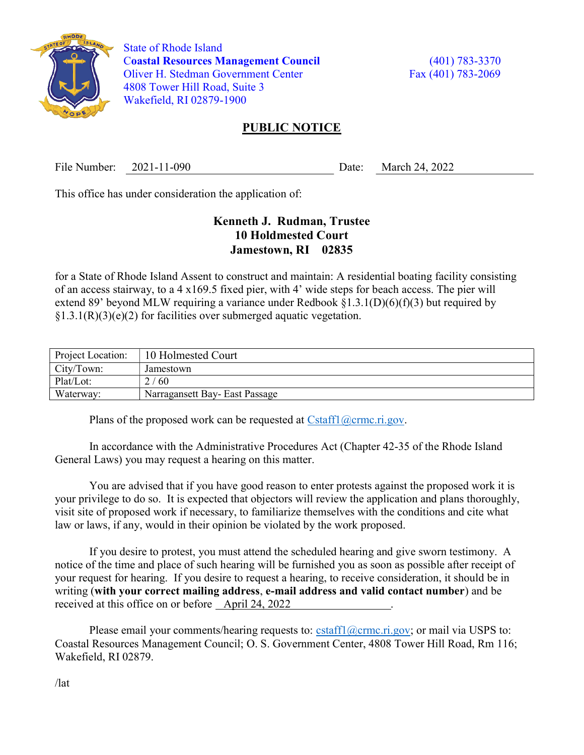

 State of Rhode Island Coastal Resources Management Council (401) 783-3370 Oliver H. Stedman Government Center Fax (401) 783-2069 4808 Tower Hill Road, Suite 3 Wakefield, RI 02879-1900

## PUBLIC NOTICE

File Number: 2021-11-090 Date: March 24, 2022

This office has under consideration the application of:

## Kenneth J. Rudman, Trustee 10 Holdmested Court Jamestown, RI 02835

for a State of Rhode Island Assent to construct and maintain: A residential boating facility consisting of an access stairway, to a 4 x169.5 fixed pier, with 4' wide steps for beach access. The pier will extend 89' beyond MLW requiring a variance under Redbook  $\S1.3.1(D)(6)(f)(3)$  but required by  $\S1.3.1(R)(3)(e)(2)$  for facilities over submerged aquatic vegetation.

| Project Location: | 10 Holmested Court             |
|-------------------|--------------------------------|
| City/Town:        | Jamestown                      |
| Plat/Lot:         | 2/60                           |
| Waterway:         | Narragansett Bay- East Passage |

Plans of the proposed work can be requested at  $Cstat1(\omega$ crmc.ri.gov.

In accordance with the Administrative Procedures Act (Chapter 42-35 of the Rhode Island General Laws) you may request a hearing on this matter.

You are advised that if you have good reason to enter protests against the proposed work it is your privilege to do so. It is expected that objectors will review the application and plans thoroughly, visit site of proposed work if necessary, to familiarize themselves with the conditions and cite what law or laws, if any, would in their opinion be violated by the work proposed.

If you desire to protest, you must attend the scheduled hearing and give sworn testimony. A notice of the time and place of such hearing will be furnished you as soon as possible after receipt of your request for hearing. If you desire to request a hearing, to receive consideration, it should be in writing (with your correct mailing address, e-mail address and valid contact number) and be received at this office on or before April 24, 2022 .

Please email your comments/hearing requests to: cstaff1@crmc.ri.gov; or mail via USPS to: Coastal Resources Management Council; O. S. Government Center, 4808 Tower Hill Road, Rm 116; Wakefield, RI 02879.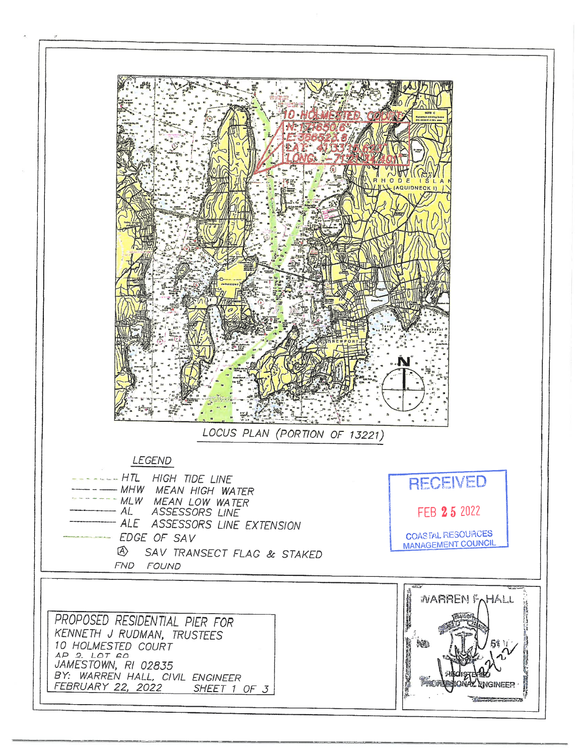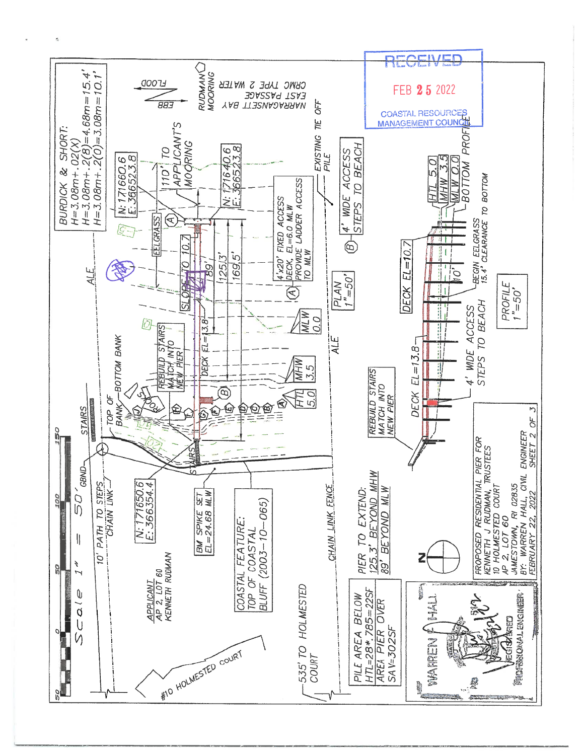